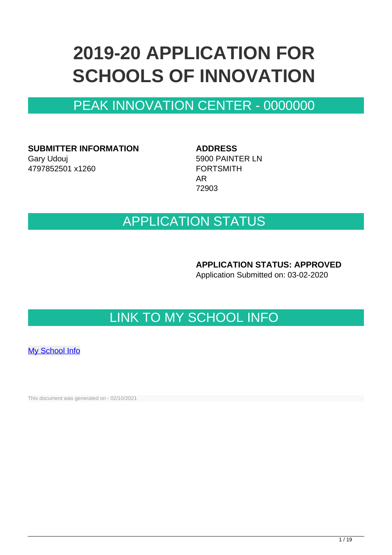# **2019-20 APPLICATION FOR SCHOOLS OF INNOVATION**

## PEAK INNOVATION CENTER - 0000000

**SUBMITTER INFORMATION** Gary Udouj 4797852501 x1260

**ADDRESS** 5900 PAINTER LN FORTSMITH AR 72903

### APPLICATION STATUS

**APPLICATION STATUS: APPROVED**

Application Submitted on: 03-02-2020

## LINK TO MY SCHOOL INFO

[My School Info](https://myschoolinfo.arkansas.gov/Schools/Search?OperationContext=None&SearchFlag=School&Query=0000000)

This document was generated on - 02/10/2021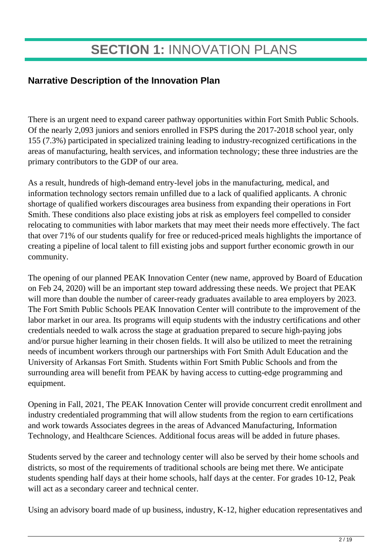## **SECTION 1:** INNOVATION PLANS

### **Narrative Description of the Innovation Plan**

There is an urgent need to expand career pathway opportunities within Fort Smith Public Schools. Of the nearly 2,093 juniors and seniors enrolled in FSPS during the 2017-2018 school year, only 155 (7.3%) participated in specialized training leading to industry-recognized certifications in the areas of manufacturing, health services, and information technology; these three industries are the primary contributors to the GDP of our area.

As a result, hundreds of high-demand entry-level jobs in the manufacturing, medical, and information technology sectors remain unfilled due to a lack of qualified applicants. A chronic shortage of qualified workers discourages area business from expanding their operations in Fort Smith. These conditions also place existing jobs at risk as employers feel compelled to consider relocating to communities with labor markets that may meet their needs more effectively. The fact that over 71% of our students qualify for free or reduced-priced meals highlights the importance of creating a pipeline of local talent to fill existing jobs and support further economic growth in our community.

The opening of our planned PEAK Innovation Center (new name, approved by Board of Education on Feb 24, 2020) will be an important step toward addressing these needs. We project that PEAK will more than double the number of career-ready graduates available to area employers by 2023. The Fort Smith Public Schools PEAK Innovation Center will contribute to the improvement of the labor market in our area. Its programs will equip students with the industry certifications and other credentials needed to walk across the stage at graduation prepared to secure high-paying jobs and/or pursue higher learning in their chosen fields. It will also be utilized to meet the retraining needs of incumbent workers through our partnerships with Fort Smith Adult Education and the University of Arkansas Fort Smith. Students within Fort Smith Public Schools and from the surrounding area will benefit from PEAK by having access to cutting-edge programming and equipment.

Opening in Fall, 2021, The PEAK Innovation Center will provide concurrent credit enrollment and industry credentialed programming that will allow students from the region to earn certifications and work towards Associates degrees in the areas of Advanced Manufacturing, Information Technology, and Healthcare Sciences. Additional focus areas will be added in future phases.

Students served by the career and technology center will also be served by their home schools and districts, so most of the requirements of traditional schools are being met there. We anticipate students spending half days at their home schools, half days at the center. For grades 10-12, Peak will act as a secondary career and technical center.

Using an advisory board made of up business, industry, K-12, higher education representatives and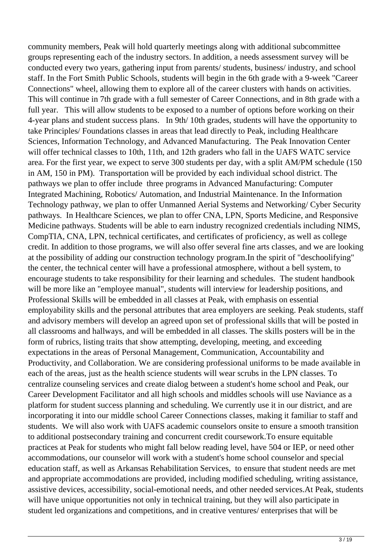community members, Peak will hold quarterly meetings along with additional subcommittee groups representing each of the industry sectors. In addition, a needs assessment survey will be conducted every two years, gathering input from parents/ students, business/ industry, and school staff. In the Fort Smith Public Schools, students will begin in the 6th grade with a 9-week "Career Connections" wheel, allowing them to explore all of the career clusters with hands on activities. This will continue in 7th grade with a full semester of Career Connections, and in 8th grade with a full year. This will allow students to be exposed to a number of options before working on their 4-year plans and student success plans. In 9th/ 10th grades, students will have the opportunity to take Principles/ Foundations classes in areas that lead directly to Peak, including Healthcare Sciences, Information Technology, and Advanced Manufacturing. The Peak Innovation Center will offer technical classes to 10th, 11th, and 12th graders who fall in the UAFS WATC service area. For the first year, we expect to serve 300 students per day, with a split AM/PM schedule (150 in AM, 150 in PM). Transportation will be provided by each individual school district. The pathways we plan to offer include three programs in Advanced Manufacturing: Computer Integrated Machining, Robotics/ Automation, and Industrial Maintenance. In the Information Technology pathway, we plan to offer Unmanned Aerial Systems and Networking/ Cyber Security pathways. In Healthcare Sciences, we plan to offer CNA, LPN, Sports Medicine, and Responsive Medicine pathways. Students will be able to earn industry recognized credentials including NIMS, CompTIA, CNA, LPN, technical certificates, and certificates of proficiency, as well as college credit. In addition to those programs, we will also offer several fine arts classes, and we are looking at the possibility of adding our construction technology program.In the spirit of "deschoolifying" the center, the technical center will have a professional atmosphere, without a bell system, to encourage students to take responsibility for their learning and schedules. The student handbook will be more like an "employee manual", students will interview for leadership positions, and Professional Skills will be embedded in all classes at Peak, with emphasis on essential employability skills and the personal attributes that area employers are seeking. Peak students, staff and advisory members will develop an agreed upon set of professional skills that will be posted in all classrooms and hallways, and will be embedded in all classes. The skills posters will be in the form of rubrics, listing traits that show attempting, developing, meeting, and exceeding expectations in the areas of Personal Management, Communication, Accountability and Productivity, and Collaboration. We are considering professional uniforms to be made available in each of the areas, just as the health science students will wear scrubs in the LPN classes. To centralize counseling services and create dialog between a student's home school and Peak, our Career Development Facilitator and all high schools and middles schools will use Naviance as a platform for student success planning and scheduling. We currently use it in our district, and are incorporating it into our middle school Career Connections classes, making it familiar to staff and students. We will also work with UAFS academic counselors onsite to ensure a smooth transition to additional postsecondary training and concurrent credit coursework.To ensure equitable practices at Peak for students who might fall below reading level, have 504 or IEP, or need other accommodations, our counselor will work with a student's home school counselor and special education staff, as well as Arkansas Rehabilitation Services, to ensure that student needs are met and appropriate accommodations are provided, including modified scheduling, writing assistance, assistive devices, accessibility, social-emotional needs, and other needed services.At Peak, students will have unique opportunities not only in technical training, but they will also participate in student led organizations and competitions, and in creative ventures/ enterprises that will be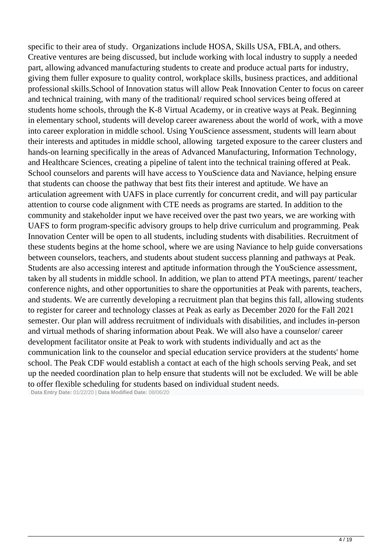specific to their area of study. Organizations include HOSA, Skills USA, FBLA, and others. Creative ventures are being discussed, but include working with local industry to supply a needed part, allowing advanced manufacturing students to create and produce actual parts for industry, giving them fuller exposure to quality control, workplace skills, business practices, and additional professional skills.School of Innovation status will allow Peak Innovation Center to focus on career and technical training, with many of the traditional/ required school services being offered at students home schools, through the K-8 Virtual Academy, or in creative ways at Peak. Beginning in elementary school, students will develop career awareness about the world of work, with a move into career exploration in middle school. Using YouScience assessment, students will learn about their interests and aptitudes in middle school, allowing targeted exposure to the career clusters and hands-on learning specifically in the areas of Advanced Manufacturing, Information Technology, and Healthcare Sciences, creating a pipeline of talent into the technical training offered at Peak. School counselors and parents will have access to YouScience data and Naviance, helping ensure that students can choose the pathway that best fits their interest and aptitude. We have an articulation agreement with UAFS in place currently for concurrent credit, and will pay particular attention to course code alignment with CTE needs as programs are started. In addition to the community and stakeholder input we have received over the past two years, we are working with UAFS to form program-specific advisory groups to help drive curriculum and programming. Peak Innovation Center will be open to all students, including students with disabilities. Recruitment of these students begins at the home school, where we are using Naviance to help guide conversations between counselors, teachers, and students about student success planning and pathways at Peak. Students are also accessing interest and aptitude information through the YouScience assessment, taken by all students in middle school. In addition, we plan to attend PTA meetings, parent/ teacher conference nights, and other opportunities to share the opportunities at Peak with parents, teachers, and students. We are currently developing a recruitment plan that begins this fall, allowing students to register for career and technology classes at Peak as early as December 2020 for the Fall 2021 semester. Our plan will address recruitment of individuals with disabilities, and includes in-person and virtual methods of sharing information about Peak. We will also have a counselor/ career development facilitator onsite at Peak to work with students individually and act as the communication link to the counselor and special education service providers at the students' home school. The Peak CDF would establish a contact at each of the high schools serving Peak, and set up the needed coordination plan to help ensure that students will not be excluded. We will be able to offer flexible scheduling for students based on individual student needs.

**Data Entry Date:** 01/22/20 | **Data Modified Date:** 08/06/20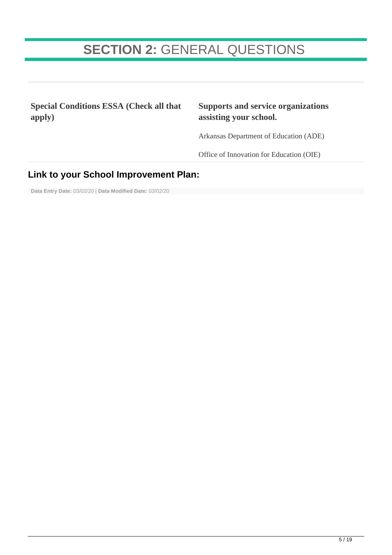## **SECTION 2:** GENERAL QUESTIONS

**Special Conditions ESSA (Check all that apply)**

#### **Supports and service organizations assisting your school.**

Arkansas Department of Education (ADE)

Office of Innovation for Education (OIE)

### **Link to your School Improvement Plan:**

**Data Entry Date:** 03/02/20 | **Data Modified Date:** 03/02/20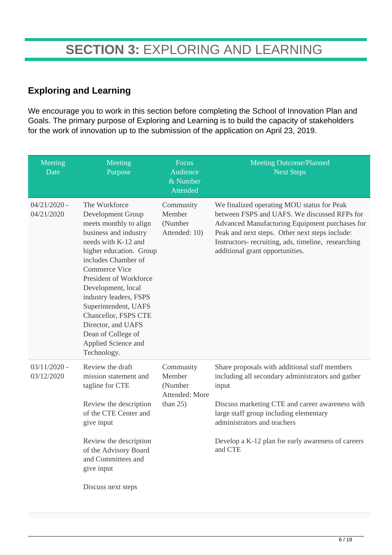### **Exploring and Learning**

We encourage you to work in this section before completing the School of Innovation Plan and Goals. The primary purpose of Exploring and Learning is to build the capacity of stakeholders for the work of innovation up to the submission of the application on April 23, 2019.

| Meeting<br>Date              | Meeting<br>Purpose                                                                                                                                                                                                                                                                                                                                                                                 | Focus<br>Audience<br>& Number<br>Attended                       | <b>Meeting Outcome/Planned</b><br><b>Next Steps</b>                                                                                                                                                                                                                                                      |
|------------------------------|----------------------------------------------------------------------------------------------------------------------------------------------------------------------------------------------------------------------------------------------------------------------------------------------------------------------------------------------------------------------------------------------------|-----------------------------------------------------------------|----------------------------------------------------------------------------------------------------------------------------------------------------------------------------------------------------------------------------------------------------------------------------------------------------------|
| $04/21/2020$ -<br>04/21/2020 | The Workforce<br>Development Group<br>meets monthly to align<br>business and industry<br>needs with K-12 and<br>higher education. Group<br>includes Chamber of<br><b>Commerce Vice</b><br>President of Workforce<br>Development, local<br>industry leaders, FSPS<br>Superintendent, UAFS<br>Chancellor, FSPS CTE<br>Director, and UAFS<br>Dean of College of<br>Applied Science and<br>Technology. | Community<br>Member<br>(Number<br>Attended: 10)                 | We finalized operating MOU status for Peak<br>between FSPS and UAFS. We discussed RFPs for<br>Advanced Manufacturing Equipment purchases for<br>Peak and next steps. Other next steps include:<br>Instructors- recruiting, ads, timeline, researching<br>additional grant opportunities.                 |
| $03/11/2020$ -<br>03/12/2020 | Review the draft<br>mission statement and<br>tagline for CTE<br>Review the description<br>of the CTE Center and<br>give input<br>Review the description<br>of the Advisory Board<br>and Committees and<br>give input<br>Discuss next steps                                                                                                                                                         | Community<br>Member<br>(Number<br>Attended: More<br>than $25$ ) | Share proposals with additional staff members<br>including all secondary administrators and gather<br>input<br>Discuss marketing CTE and career awareness with<br>large staff group including elementary<br>administrators and teachers<br>Develop a K-12 plan for early awareness of careers<br>and CTE |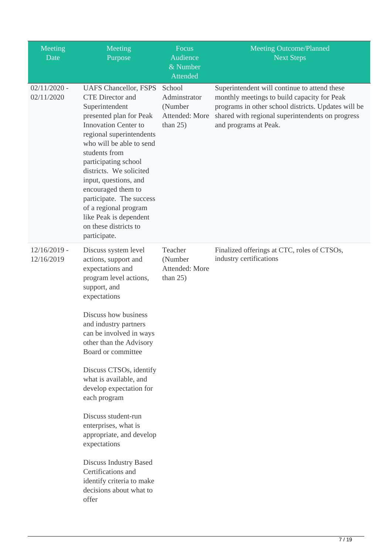| Meeting<br>Date              | Meeting<br>Purpose                                                                                                                                                                                                                                                                                                                                                                                                                     | Focus<br>Audience<br>& Number<br><b>Attended</b>                   | <b>Meeting Outcome/Planned</b><br><b>Next Steps</b>                                                                                                                                                                             |
|------------------------------|----------------------------------------------------------------------------------------------------------------------------------------------------------------------------------------------------------------------------------------------------------------------------------------------------------------------------------------------------------------------------------------------------------------------------------------|--------------------------------------------------------------------|---------------------------------------------------------------------------------------------------------------------------------------------------------------------------------------------------------------------------------|
| $02/11/2020$ -<br>02/11/2020 | <b>UAFS Chancellor, FSPS</b><br><b>CTE</b> Director and<br>Superintendent<br>presented plan for Peak<br><b>Innovation Center to</b><br>regional superintendents<br>who will be able to send<br>students from<br>participating school<br>districts. We solicited<br>input, questions, and<br>encouraged them to<br>participate. The success<br>of a regional program<br>like Peak is dependent<br>on these districts to<br>participate. | School<br>Adminstrator<br>(Number<br>Attended: More<br>than $25$ ) | Superintendent will continue to attend these<br>monthly meetings to build capacity for Peak<br>programs in other school districts. Updates will be<br>shared with regional superintendents on progress<br>and programs at Peak. |
| $12/16/2019$ -<br>12/16/2019 | Discuss system level<br>actions, support and<br>expectations and<br>program level actions,<br>support, and<br>expectations<br>Discuss how business<br>and industry partners<br>can be involved in ways<br>other than the Advisory<br>Board or committee<br>Discuss CTSOs, identify<br>what is available, and<br>develop expectation for<br>each program<br>Discuss student-run<br>enterprises, what is<br>appropriate, and develop     | Teacher<br>(Number<br>Attended: More<br>than $25$ )                | Finalized offerings at CTC, roles of CTSOs,<br>industry certifications                                                                                                                                                          |
|                              | expectations<br><b>Discuss Industry Based</b><br>Certifications and<br>identify criteria to make<br>decisions about what to<br>offer                                                                                                                                                                                                                                                                                                   |                                                                    |                                                                                                                                                                                                                                 |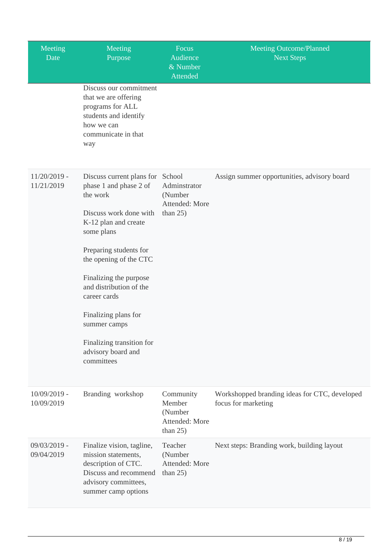| Meeting<br>Date              | Meeting<br>Purpose                                                                                                                                                                                                                                                                                                                                                       | Focus<br>Audience<br>& Number<br>Attended                      | <b>Meeting Outcome/Planned</b><br><b>Next Steps</b>                  |
|------------------------------|--------------------------------------------------------------------------------------------------------------------------------------------------------------------------------------------------------------------------------------------------------------------------------------------------------------------------------------------------------------------------|----------------------------------------------------------------|----------------------------------------------------------------------|
|                              | Discuss our commitment<br>that we are offering<br>programs for ALL<br>students and identify<br>how we can<br>communicate in that<br>way                                                                                                                                                                                                                                  |                                                                |                                                                      |
| $11/20/2019$ -<br>11/21/2019 | Discuss current plans for School<br>phase 1 and phase 2 of<br>the work<br>Discuss work done with<br>K-12 plan and create<br>some plans<br>Preparing students for<br>the opening of the CTC<br>Finalizing the purpose<br>and distribution of the<br>career cards<br>Finalizing plans for<br>summer camps<br>Finalizing transition for<br>advisory board and<br>committees | Adminstrator<br>(Number<br>Attended: More<br>than $25$ )       | Assign summer opportunities, advisory board                          |
| $10/09/2019$ -<br>10/09/2019 | Branding workshop                                                                                                                                                                                                                                                                                                                                                        | Community<br>Member<br>(Number<br>Attended: More<br>than $25)$ | Workshopped branding ideas for CTC, developed<br>focus for marketing |
| 09/03/2019 -<br>09/04/2019   | Finalize vision, tagline,<br>mission statements,<br>description of CTC.<br>Discuss and recommend<br>advisory committees,<br>summer camp options                                                                                                                                                                                                                          | Teacher<br>(Number<br>Attended: More<br>than $25$ )            | Next steps: Branding work, building layout                           |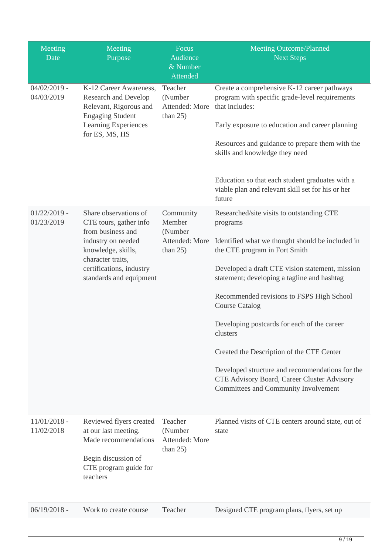| Meeting<br>Date              | Meeting<br>Purpose                                                                                                                                                                           | Focus<br>Audience<br>& Number<br>Attended                       | <b>Meeting Outcome/Planned</b><br><b>Next Steps</b>                                                                                                                                                                                                                                                                                                                                                                                                                                                                                                                  |
|------------------------------|----------------------------------------------------------------------------------------------------------------------------------------------------------------------------------------------|-----------------------------------------------------------------|----------------------------------------------------------------------------------------------------------------------------------------------------------------------------------------------------------------------------------------------------------------------------------------------------------------------------------------------------------------------------------------------------------------------------------------------------------------------------------------------------------------------------------------------------------------------|
| $04/02/2019$ -<br>04/03/2019 | K-12 Career Awareness,<br><b>Research and Develop</b><br>Relevant, Rigorous and<br><b>Engaging Student</b><br>Learning Experiences<br>for ES, MS, HS                                         | Teacher<br>(Number<br>Attended: More<br>than $25$ )             | Create a comprehensive K-12 career pathways<br>program with specific grade-level requirements<br>that includes:<br>Early exposure to education and career planning<br>Resources and guidance to prepare them with the<br>skills and knowledge they need<br>Education so that each student graduates with a<br>viable plan and relevant skill set for his or her<br>future                                                                                                                                                                                            |
| $01/22/2019$ -<br>01/23/2019 | Share observations of<br>CTE tours, gather info<br>from business and<br>industry on needed<br>knowledge, skills,<br>character traits,<br>certifications, industry<br>standards and equipment | Community<br>Member<br>(Number<br>Attended: More<br>than $25$ ) | Researched/site visits to outstanding CTE<br>programs<br>Identified what we thought should be included in<br>the CTE program in Fort Smith<br>Developed a draft CTE vision statement, mission<br>statement; developing a tagline and hashtag<br>Recommended revisions to FSPS High School<br><b>Course Catalog</b><br>Developing postcards for each of the career<br>clusters<br>Created the Description of the CTE Center<br>Developed structure and recommendations for the<br>CTE Advisory Board, Career Cluster Advisory<br>Committees and Community Involvement |
| $11/01/2018$ -<br>11/02/2018 | Reviewed flyers created<br>at our last meeting.<br>Made recommendations<br>Begin discussion of<br>CTE program guide for<br>teachers                                                          | Teacher<br>(Number<br>Attended: More<br>than $25$ )             | Planned visits of CTE centers around state, out of<br>state                                                                                                                                                                                                                                                                                                                                                                                                                                                                                                          |
| $06/19/2018 -$               | Work to create course                                                                                                                                                                        | Teacher                                                         | Designed CTE program plans, flyers, set up                                                                                                                                                                                                                                                                                                                                                                                                                                                                                                                           |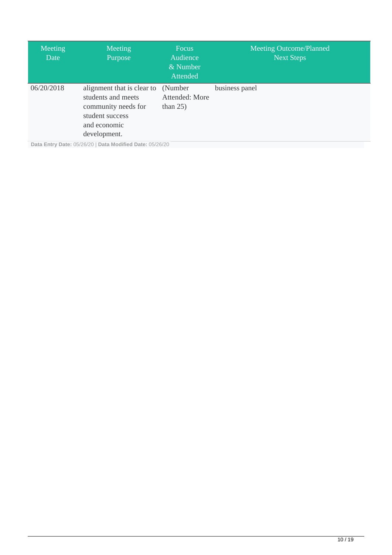| Meeting<br>Date | Meeting<br>Purpose                                                                                                         | <b>Focus</b><br>Audience<br>& Number<br>Attended | <b>Meeting Outcome/Planned</b><br><b>Next Steps</b> |
|-----------------|----------------------------------------------------------------------------------------------------------------------------|--------------------------------------------------|-----------------------------------------------------|
| 06/20/2018      | alignment that is clear to<br>students and meets<br>community needs for<br>student success<br>and economic<br>development. | (Number)<br>Attended: More<br>than $25$ )        | business panel                                      |
|                 | Data Entry Date: 05/26/20   Data Modified Date: 05/26/20                                                                   |                                                  |                                                     |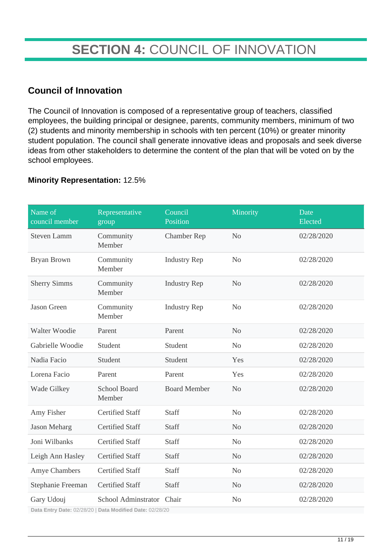## **SECTION 4:** COUNCIL OF INNOVATION

### **Council of Innovation**

The Council of Innovation is composed of a representative group of teachers, classified employees, the building principal or designee, parents, community members, minimum of two (2) students and minority membership in schools with ten percent (10%) or greater minority student population. The council shall generate innovative ideas and proposals and seek diverse ideas from other stakeholders to determine the content of the plan that will be voted on by the school employees.

#### **Minority Representation:** 12.5%

| Name of<br>council member | Representative<br>group                                                               | Council<br>Position | Minority       | Date<br>Elected |
|---------------------------|---------------------------------------------------------------------------------------|---------------------|----------------|-----------------|
| <b>Steven Lamm</b>        | Community<br>Member                                                                   | <b>Chamber Rep</b>  | N <sub>o</sub> | 02/28/2020      |
| Bryan Brown               | Community<br>Member                                                                   | <b>Industry Rep</b> | N <sub>o</sub> | 02/28/2020      |
| <b>Sherry Simms</b>       | Community<br>Member                                                                   | <b>Industry Rep</b> | N <sub>o</sub> | 02/28/2020      |
| <b>Jason Green</b>        | Community<br>Member                                                                   | <b>Industry Rep</b> | N <sub>o</sub> | 02/28/2020      |
| Walter Woodie             | Parent                                                                                | Parent              | N <sub>o</sub> | 02/28/2020      |
| Gabrielle Woodie          | Student                                                                               | Student             | N <sub>o</sub> | 02/28/2020      |
| Nadia Facio               | Student                                                                               | Student             | Yes            | 02/28/2020      |
| Lorena Facio              | Parent                                                                                | Parent              | Yes            | 02/28/2020      |
| Wade Gilkey               | <b>School Board</b><br>Member                                                         | <b>Board Member</b> | N <sub>o</sub> | 02/28/2020      |
| Amy Fisher                | <b>Certified Staff</b>                                                                | <b>Staff</b>        | No             | 02/28/2020      |
| Jason Meharg              | <b>Certified Staff</b>                                                                | Staff               | N <sub>o</sub> | 02/28/2020      |
| Joni Wilbanks             | <b>Certified Staff</b>                                                                | Staff               | N <sub>o</sub> | 02/28/2020      |
| Leigh Ann Hasley          | <b>Certified Staff</b>                                                                | Staff               | No             | 02/28/2020      |
| Amye Chambers             | <b>Certified Staff</b>                                                                | Staff               | No             | 02/28/2020      |
| Stephanie Freeman         | <b>Certified Staff</b>                                                                | Staff               | N <sub>o</sub> | 02/28/2020      |
| Gary Udouj                | School Adminstrator Chair<br>Data Entry Data: 00/00/00   Data Madified Data: 00/00/00 |                     | N <sub>o</sub> | 02/28/2020      |

**Data Entry Date:** 02/28/20 | **Data Modified Date:** 02/28/20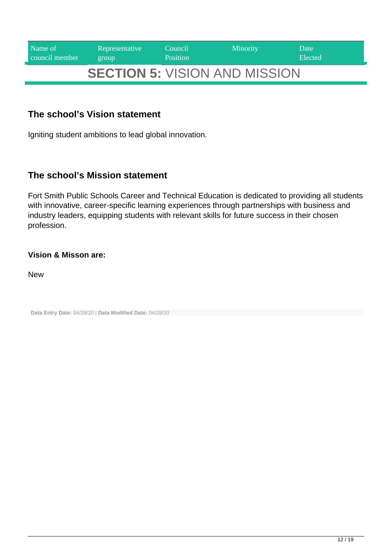| Name of        | Representative | Council         | <b>Minority</b>                      | Date    |
|----------------|----------------|-----------------|--------------------------------------|---------|
| council member | group          | <b>Position</b> |                                      | Elected |
|                |                |                 | <b>SECTION 5: VISION AND MISSION</b> |         |

### **The school's Vision statement**

Igniting student ambitions to lead global innovation.

#### **The school's Mission statement**

Fort Smith Public Schools Career and Technical Education is dedicated to providing all students with innovative, career-specific learning experiences through partnerships with business and industry leaders, equipping students with relevant skills for future success in their chosen profession.

#### **Vision & Misson are:**

New

**Data Entry Date:** 04/28/20 | **Data Modified Date:** 04/28/20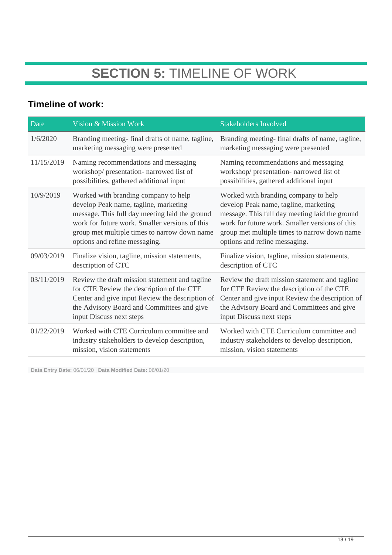## **SECTION 5:** TIMELINE OF WORK

### **Timeline of work:**

| Date       | Vision & Mission Work                                                                                                                                                                                                                                              | <b>Stakeholders Involved</b>                                                                                                                                                                                                                                       |
|------------|--------------------------------------------------------------------------------------------------------------------------------------------------------------------------------------------------------------------------------------------------------------------|--------------------------------------------------------------------------------------------------------------------------------------------------------------------------------------------------------------------------------------------------------------------|
| 1/6/2020   | Branding meeting- final drafts of name, tagline,<br>marketing messaging were presented                                                                                                                                                                             | Branding meeting- final drafts of name, tagline,<br>marketing messaging were presented                                                                                                                                                                             |
| 11/15/2019 | Naming recommendations and messaging<br>workshop/presentation-narrowed list of<br>possibilities, gathered additional input                                                                                                                                         | Naming recommendations and messaging<br>workshop/presentation-narrowed list of<br>possibilities, gathered additional input                                                                                                                                         |
| 10/9/2019  | Worked with branding company to help<br>develop Peak name, tagline, marketing<br>message. This full day meeting laid the ground<br>work for future work. Smaller versions of this<br>group met multiple times to narrow down name<br>options and refine messaging. | Worked with branding company to help<br>develop Peak name, tagline, marketing<br>message. This full day meeting laid the ground<br>work for future work. Smaller versions of this<br>group met multiple times to narrow down name<br>options and refine messaging. |
| 09/03/2019 | Finalize vision, tagline, mission statements,<br>description of CTC                                                                                                                                                                                                | Finalize vision, tagline, mission statements,<br>description of CTC                                                                                                                                                                                                |
| 03/11/2019 | Review the draft mission statement and tagline<br>for CTE Review the description of the CTE<br>Center and give input Review the description of<br>the Advisory Board and Committees and give<br>input Discuss next steps                                           | Review the draft mission statement and tagline<br>for CTE Review the description of the CTE<br>Center and give input Review the description of<br>the Advisory Board and Committees and give<br>input Discuss next steps                                           |
| 01/22/2019 | Worked with CTE Curriculum committee and<br>industry stakeholders to develop description,<br>mission, vision statements                                                                                                                                            | Worked with CTE Curriculum committee and<br>industry stakeholders to develop description,<br>mission, vision statements                                                                                                                                            |

**Data Entry Date:** 06/01/20 | **Data Modified Date:** 06/01/20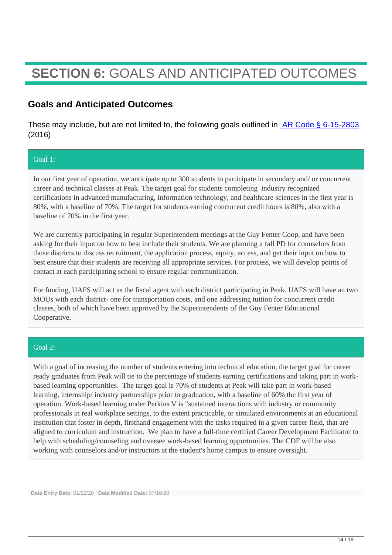## **SECTION 6:** GOALS AND ANTICIPATED OUTCOMES

### **Goals and Anticipated Outcomes**

These may include, but are not limited to, the following goals outlined in  $AR Code \S 6-15-2803$ (2016)

#### Goal 1:

In our first year of operation, we anticipate up to 300 students to participate in secondary and/ or concurrent career and technical classes at Peak. The target goal for students completing industry recognized certifications in advanced manufacturing, information technology, and healthcare sciences in the first year is 80%, with a baseline of 70%. The target for students earning concurrent credit hours is 80%, also with a baseline of 70% in the first year.

We are currently participating in regular Superintendent meetings at the Guy Fenter Coop, and have been asking for their input on how to best include their students. We are planning a fall PD for counselors from those districts to discuss recruitment, the application process, equity, access, and get their input on how to best ensure that their students are receiving all appropriate services. For process, we will develop points of contact at each participating school to ensure regular communication.

For funding, UAFS will act as the fiscal agent with each district participating in Peak. UAFS will have an two MOUs with each district- one for transportation costs, and one addressing tuition for concurrent credit classes, both of which have been approved by the Superintendents of the Guy Fenter Educational Cooperative.

#### Goal 2:

With a goal of increasing the number of students entering into technical education, the target goal for career ready graduates from Peak will tie to the percentage of students earning certifications and taking part in workbased learning opportunities. The target goal is 70% of students at Peak will take part in work-based learning, internship/ industry partnerships prior to graduation, with a baseline of 60% the first year of operation. Work-based learning under Perkins V is "sustained interactions with industry or community professionals in real workplace settings, to the extent practicable, or simulated environments at an educational institution that foster in depth, firsthand engagement with the tasks required in a given career field, that are aligned to curriculum and instruction. We plan to have a full-time certified Career Development Facilitator to help with scheduling/counseling and oversee work-based learning opportunities. The CDF will be also working with counselors and/or instructors at the student's home campus to ensure oversight.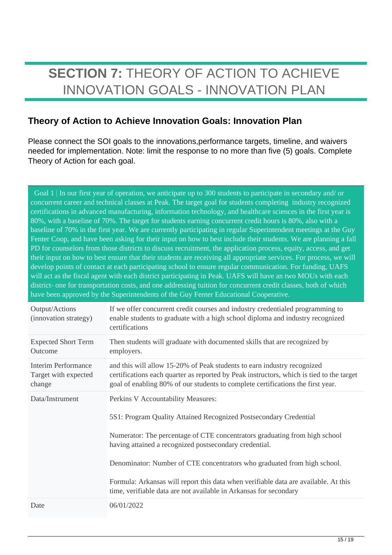## **SECTION 7:** THEORY OF ACTION TO ACHIEVE INNOVATION GOALS - INNOVATION PLAN

### **Theory of Action to Achieve Innovation Goals: Innovation Plan**

Please connect the SOI goals to the innovations,performance targets, timeline, and waivers needed for implementation. Note: limit the response to no more than five (5) goals. Complete Theory of Action for each goal.

Goal 1 | In our first year of operation, we anticipate up to 300 students to participate in secondary and/ or concurrent career and technical classes at Peak. The target goal for students completing industry recognized certifications in advanced manufacturing, information technology, and healthcare sciences in the first year is 80%, with a baseline of 70%. The target for students earning concurrent credit hours is 80%, also with a baseline of 70% in the first year. We are currently participating in regular Superintendent meetings at the Guy Fenter Coop, and have been asking for their input on how to best include their students. We are planning a fall PD for counselors from those districts to discuss recruitment, the application process, equity, access, and get their input on how to best ensure that their students are receiving all appropriate services. For process, we will develop points of contact at each participating school to ensure regular communication. For funding, UAFS will act as the fiscal agent with each district participating in Peak. UAFS will have an two MOUs with each district- one for transportation costs, and one addressing tuition for concurrent credit classes, both of which have been approved by the Superintendents of the Guy Fenter Educational Cooperative.

| Output/Actions<br>(innovation strategy)                      | If we offer concurrent credit courses and industry credentialed programming to<br>enable students to graduate with a high school diploma and industry recognized<br>certifications                                                                                                                                                                                                                                                                                                      |
|--------------------------------------------------------------|-----------------------------------------------------------------------------------------------------------------------------------------------------------------------------------------------------------------------------------------------------------------------------------------------------------------------------------------------------------------------------------------------------------------------------------------------------------------------------------------|
| <b>Expected Short Term</b><br>Outcome                        | Then students will graduate with documented skills that are recognized by<br>employers.                                                                                                                                                                                                                                                                                                                                                                                                 |
| <b>Interim Performance</b><br>Target with expected<br>change | and this will allow 15-20% of Peak students to earn industry recognized<br>certifications each quarter as reported by Peak instructors, which is tied to the target<br>goal of enabling 80% of our students to complete certifications the first year.                                                                                                                                                                                                                                  |
| Data/Instrument                                              | Perkins V Accountability Measures:<br>5S1: Program Quality Attained Recognized Postsecondary Credential<br>Numerator: The percentage of CTE concentrators graduating from high school<br>having attained a recognized postsecondary credential.<br>Denominator: Number of CTE concentrators who graduated from high school.<br>Formula: Arkansas will report this data when verifiable data are available. At this<br>time, verifiable data are not available in Arkansas for secondary |
| Date                                                         | 06/01/2022                                                                                                                                                                                                                                                                                                                                                                                                                                                                              |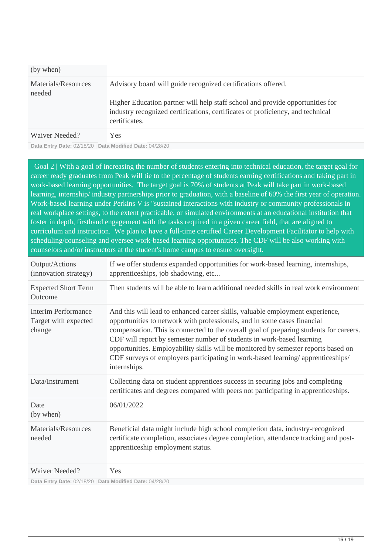| (by when)                     |                                                                                                                                                                                  |
|-------------------------------|----------------------------------------------------------------------------------------------------------------------------------------------------------------------------------|
| Materials/Resources<br>needed | Advisory board will guide recognized certifications offered.                                                                                                                     |
|                               | Higher Education partner will help staff school and provide opportunities for<br>industry recognized certifications, certificates of proficiency, and technical<br>certificates. |
| Waiver Needed?                | Yes.                                                                                                                                                                             |

**Data Entry Date:** 02/18/20 | **Data Modified Date:** 04/28/20

 Goal 2 | With a goal of increasing the number of students entering into technical education, the target goal for career ready graduates from Peak will tie to the percentage of students earning certifications and taking part in work-based learning opportunities. The target goal is 70% of students at Peak will take part in work-based learning, internship/ industry partnerships prior to graduation, with a baseline of 60% the first year of operation. Work-based learning under Perkins V is "sustained interactions with industry or community professionals in real workplace settings, to the extent practicable, or simulated environments at an educational institution that foster in depth, firsthand engagement with the tasks required in a given career field, that are aligned to curriculum and instruction. We plan to have a full-time certified Career Development Facilitator to help with scheduling/counseling and oversee work-based learning opportunities. The CDF will be also working with counselors and/or instructors at the student's home campus to ensure oversight.

| Output/Actions<br>(innovation strategy)               | If we offer students expanded opportunities for work-based learning, internships,<br>apprenticeships, job shadowing, etc                                                                                                                                                                                                                                                                                                                                                                                             |
|-------------------------------------------------------|----------------------------------------------------------------------------------------------------------------------------------------------------------------------------------------------------------------------------------------------------------------------------------------------------------------------------------------------------------------------------------------------------------------------------------------------------------------------------------------------------------------------|
| <b>Expected Short Term</b><br>Outcome                 | Then students will be able to learn additional needed skills in real work environment                                                                                                                                                                                                                                                                                                                                                                                                                                |
| Interim Performance<br>Target with expected<br>change | And this will lead to enhanced career skills, valuable employment experience,<br>opportunities to network with professionals, and in some cases financial<br>compensation. This is connected to the overall goal of preparing students for careers.<br>CDF will report by semester number of students in work-based learning<br>opportunities. Employability skills will be monitored by semester reports based on<br>CDF surveys of employers participating in work-based learning/apprenticeships/<br>internships. |
| Data/Instrument                                       | Collecting data on student apprentices success in securing jobs and completing<br>certificates and degrees compared with peers not participating in apprenticeships.                                                                                                                                                                                                                                                                                                                                                 |
| Date<br>(by when)                                     | 06/01/2022                                                                                                                                                                                                                                                                                                                                                                                                                                                                                                           |
| Materials/Resources<br>needed                         | Beneficial data might include high school completion data, industry-recognized<br>certificate completion, associates degree completion, attendance tracking and post-<br>apprenticeship employment status.                                                                                                                                                                                                                                                                                                           |
| Waiver Needed?                                        | Yes                                                                                                                                                                                                                                                                                                                                                                                                                                                                                                                  |

**Data Entry Date:** 02/18/20 | **Data Modified Date:** 04/28/20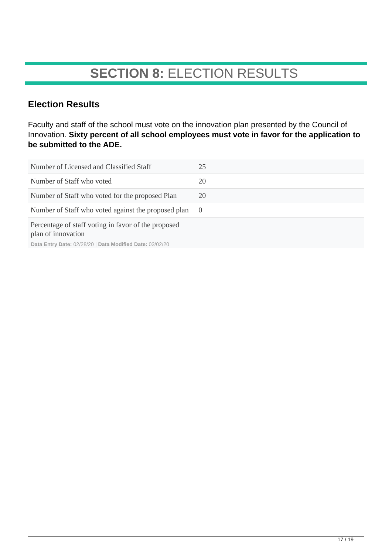## **SECTION 8:** ELECTION RESULTS

### **Election Results**

Faculty and staff of the school must vote on the innovation plan presented by the Council of Innovation. **Sixty percent of all school employees must vote in favor for the application to be submitted to the ADE.**

| Number of Licensed and Classified Staff                                   | 25         |
|---------------------------------------------------------------------------|------------|
| Number of Staff who voted                                                 | 20         |
| Number of Staff who voted for the proposed Plan                           | 20         |
| Number of Staff who voted against the proposed plan                       | $\bigcirc$ |
| Percentage of staff voting in favor of the proposed<br>plan of innovation |            |
| Data Entry Date: 02/28/20   Data Modified Date: 03/02/20                  |            |

**Data Entry Date:** 02/28/20 | **Data Modified Date:** 03/02/20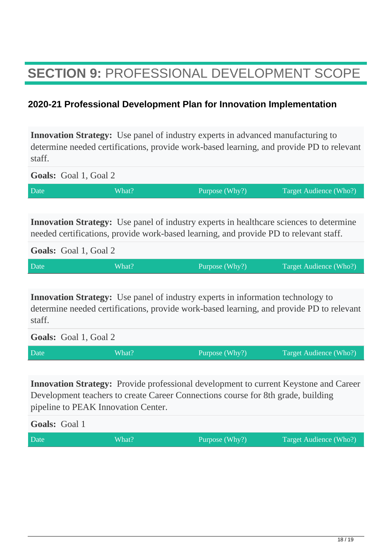## **SECTION 9:** PROFESSIONAL DEVELOPMENT SCOPE

### **2020-21 Professional Development Plan for Innovation Implementation**

**Innovation Strategy:** Use panel of industry experts in advanced manufacturing to determine needed certifications, provide work-based learning, and provide PD to relevant staff.

**Goals:** Goal 1, Goal 2 Date What? What? Purpose (Why?) Target Audience (Who?)

**Innovation Strategy:** Use panel of industry experts in healthcare sciences to determine needed certifications, provide work-based learning, and provide PD to relevant staff.

**Goals:** Goal 1, Goal 2

| Date | What? | Purpose (Why?) | Target Audience (Who?) |
|------|-------|----------------|------------------------|
|      |       |                |                        |

**Innovation Strategy:** Use panel of industry experts in information technology to determine needed certifications, provide work-based learning, and provide PD to relevant staff.

**Goals:** Goal 1, Goal 2

| Date | What? | Purpose (Why?) | Target Audience (Who?) |
|------|-------|----------------|------------------------|

**Innovation Strategy:** Provide professional development to current Keystone and Career Development teachers to create Career Connections course for 8th grade, building pipeline to PEAK Innovation Center.

| <b>Goals:</b> Goal 1 |       |                |                        |
|----------------------|-------|----------------|------------------------|
| Date                 | What? | Purpose (Why?) | Target Audience (Who?) |